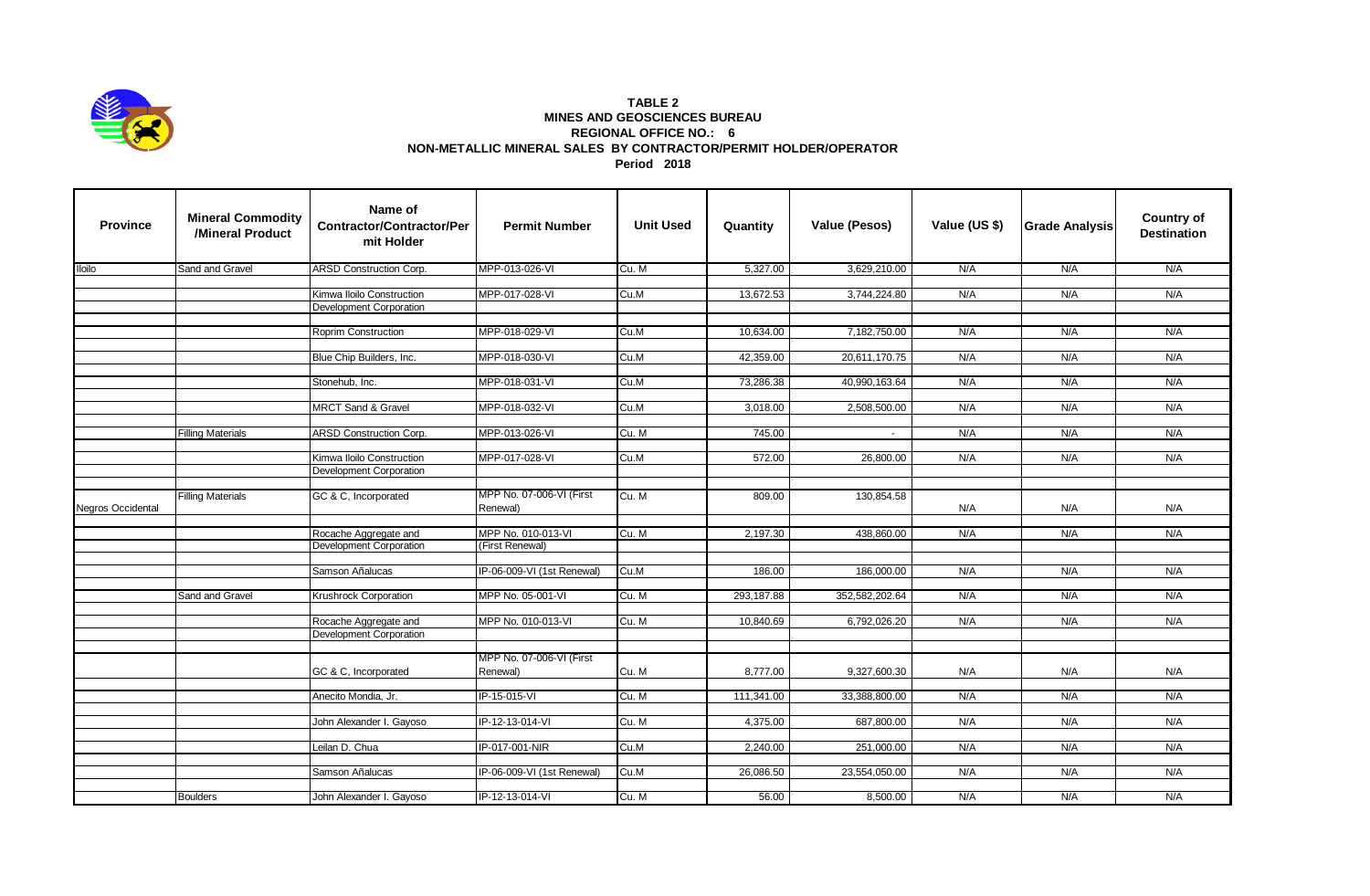

## **TABLE 2 MINES AND GEOSCIENCES BUREAU REGIONAL OFFICE NO.: 6 NON-METALLIC MINERAL SALES BY CONTRACTOR/PERMIT HOLDER/OPERATOR Period 2018**

| <b>Province</b>   | <b>Mineral Commodity</b><br>/Mineral Product | Name of<br><b>Contractor/Contractor/Per</b><br>mit Holder | <b>Permit Number</b>                 | <b>Unit Used</b> | Quantity   | Value (Pesos)  | Value (US \$) | <b>Grade Analysis</b> | <b>Country of</b><br><b>Destination</b> |
|-------------------|----------------------------------------------|-----------------------------------------------------------|--------------------------------------|------------------|------------|----------------|---------------|-----------------------|-----------------------------------------|
| <b>Iloilo</b>     | Sand and Gravel                              | <b>ARSD Construction Corp.</b>                            | MPP-013-026-VI                       | Cu. M            | 5,327.00   | 3,629,210.00   | N/A           | N/A                   | N/A                                     |
|                   |                                              |                                                           |                                      |                  |            |                |               |                       |                                         |
|                   |                                              | Kimwa Iloilo Construction                                 | MPP-017-028-VI                       | Cu.M             | 13,672.53  | 3,744,224.80   | N/A           | N/A                   | N/A                                     |
|                   |                                              | Development Corporation                                   |                                      |                  |            |                |               |                       |                                         |
|                   |                                              | Roprim Construction                                       | MPP-018-029-VI                       | Cu.M             | 10,634.00  | 7,182,750.00   | N/A           | N/A                   | N/A                                     |
|                   |                                              |                                                           |                                      |                  |            |                |               |                       |                                         |
|                   |                                              | Blue Chip Builders, Inc.                                  | MPP-018-030-VI                       | Cu.M             | 42,359.00  | 20,611,170.75  | N/A           | N/A                   | N/A                                     |
|                   |                                              |                                                           |                                      |                  |            |                |               |                       |                                         |
|                   |                                              | Stonehub, Inc.                                            | MPP-018-031-VI                       | Cu.M             | 73,286.38  | 40,990,163.64  | N/A           | N/A                   | N/A                                     |
|                   |                                              |                                                           |                                      |                  |            |                |               |                       |                                         |
|                   |                                              | <b>MRCT Sand &amp; Gravel</b>                             | MPP-018-032-VI                       | Cu.M             | 3,018.00   | 2,508,500.00   | N/A           | N/A                   | N/A                                     |
|                   | <b>Filling Materials</b>                     | <b>ARSD Construction Corp.</b>                            | MPP-013-026-VI                       | Cu. M            | 745.00     |                | N/A           | N/A                   | N/A                                     |
|                   |                                              |                                                           |                                      |                  |            |                |               |                       |                                         |
|                   |                                              | Kimwa Iloilo Construction                                 | MPP-017-028-VI                       | Cu.M             | 572.00     | 26,800.00      | N/A           | N/A                   | N/A                                     |
|                   |                                              | <b>Development Corporation</b>                            |                                      |                  |            |                |               |                       |                                         |
|                   |                                              |                                                           | MPP No. 07-006-VI (First             |                  |            |                |               |                       |                                         |
| Negros Occidental | <b>Filling Materials</b>                     | GC & C, Incorporated                                      | Renewal)                             | Cu. M            | 809.00     | 130,854.58     | N/A           | N/A                   | N/A                                     |
|                   |                                              | Rocache Aggregate and                                     | MPP No. 010-013-VI                   | Cu. M            | 2,197.30   | 438,860.00     | N/A           | N/A                   | N/A                                     |
|                   |                                              | Development Corporation                                   | (First Renewal)                      |                  |            |                |               |                       |                                         |
|                   |                                              |                                                           |                                      |                  |            |                |               |                       |                                         |
|                   |                                              | Samson Añalucas                                           | IP-06-009-VI (1st Renewal)           | Cu.M             | 186.00     | 186,000.00     | N/A           | N/A                   | N/A                                     |
|                   |                                              |                                                           |                                      |                  |            |                |               |                       |                                         |
|                   | Sand and Gravel                              | Krushrock Corporation                                     | MPP No. 05-001-VI                    | Cu. M            | 293,187.88 | 352,582,202.64 | N/A           | N/A                   | N/A                                     |
|                   |                                              | Rocache Aggregate and                                     | MPP No. 010-013-VI                   | Cu. M            | 10,840.69  | 6,792,026.20   | N/A           | N/A                   | N/A                                     |
|                   |                                              | Development Corporation                                   |                                      |                  |            |                |               |                       |                                         |
|                   |                                              |                                                           |                                      |                  |            |                |               |                       |                                         |
|                   |                                              | GC & C, Incorporated                                      | MPP No. 07-006-VI (First<br>Renewal) | Cu. M            | 8,777.00   | 9,327,600.30   | N/A           | N/A                   | N/A                                     |
|                   |                                              |                                                           |                                      |                  |            |                |               |                       |                                         |
|                   |                                              | Anecito Mondia, Jr.                                       | IP-15-015-VI                         | Cu. M            | 111,341.00 | 33,388,800.00  | N/A           | N/A                   | N/A                                     |
|                   |                                              |                                                           | IP-12-13-014-VI                      | Cu. M            | 4,375.00   | 687,800.00     |               |                       | N/A                                     |
|                   |                                              | John Alexander I. Gayoso                                  |                                      |                  |            |                | N/A           | N/A                   |                                         |
|                   |                                              | Leilan D. Chua                                            | IP-017-001-NIR                       | Cu.M             | 2,240.00   | 251,000.00     | N/A           | N/A                   | N/A                                     |
|                   |                                              |                                                           |                                      |                  |            |                |               |                       |                                         |
|                   |                                              | Samson Añalucas                                           | IP-06-009-VI (1st Renewal)           | Cu.M             | 26,086.50  | 23,554,050.00  | N/A           | N/A                   | N/A                                     |
|                   |                                              |                                                           |                                      |                  |            |                |               |                       |                                         |
|                   | <b>Boulders</b>                              | John Alexander I. Gayoso                                  | IP-12-13-014-VI                      | Cu. M            | 56.00      | 8,500.00       | N/A           | N/A                   | N/A                                     |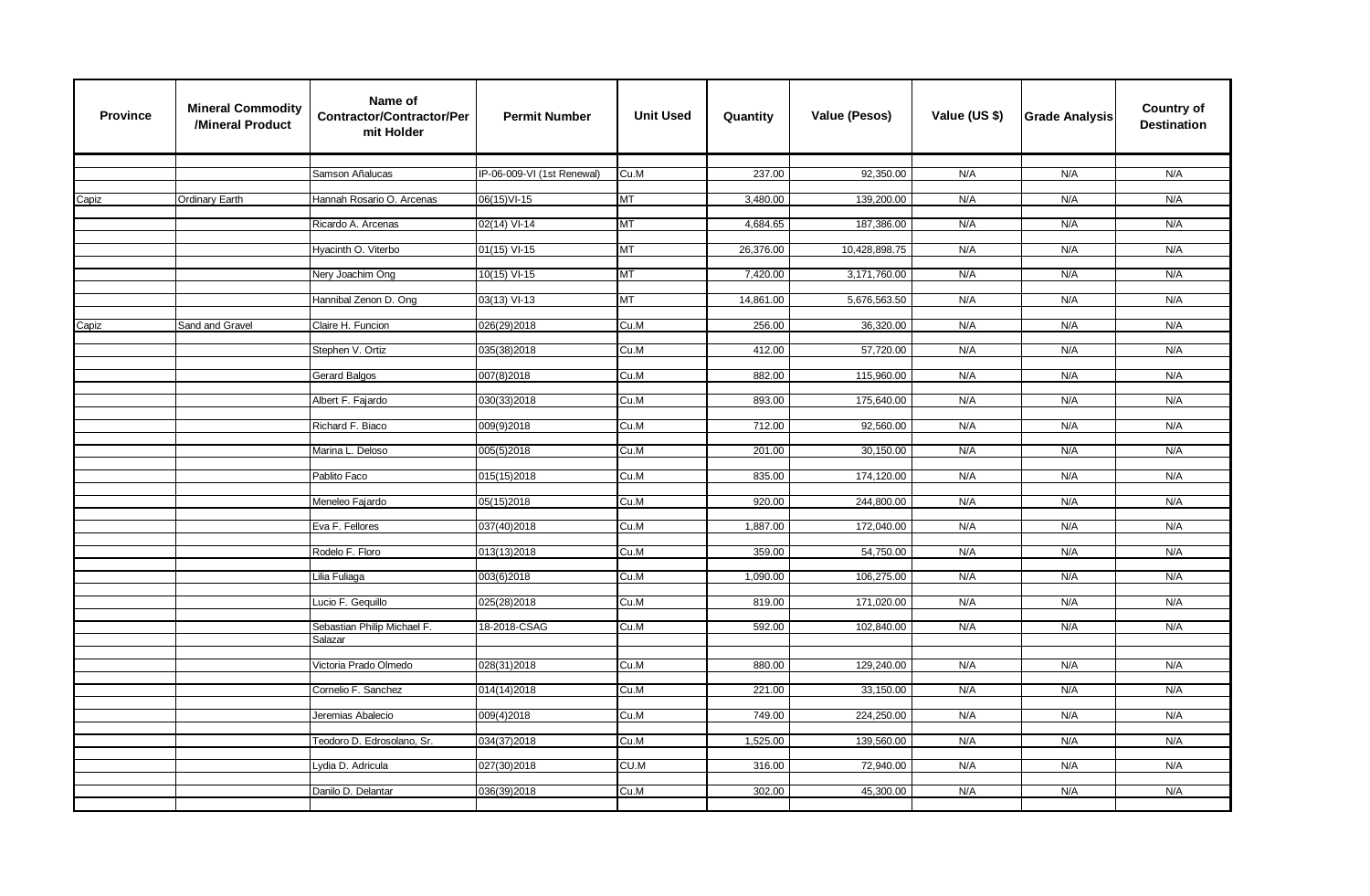| <b>Province</b> | <b>Mineral Commodity</b><br>/Mineral Product | Name of<br><b>Contractor/Contractor/Per</b><br>mit Holder | <b>Permit Number</b>       | <b>Unit Used</b> | Quantity  | <b>Value (Pesos)</b> | Value (US \$) | <b>Grade Analysis</b> | Country of<br><b>Destination</b> |
|-----------------|----------------------------------------------|-----------------------------------------------------------|----------------------------|------------------|-----------|----------------------|---------------|-----------------------|----------------------------------|
|                 |                                              |                                                           |                            |                  |           |                      |               |                       |                                  |
|                 |                                              | Samson Añalucas                                           | IP-06-009-VI (1st Renewal) | Cu.M             | 237.00    | 92,350.00            | N/A           | N/A                   | N/A                              |
| Capiz           | Ordinary Earth                               | Hannah Rosario O. Arcenas                                 | 06(15) VI-15               | <b>MT</b>        | 3,480.00  | 139,200.00           | N/A           | N/A                   | N/A                              |
|                 |                                              | Ricardo A. Arcenas                                        | 02(14) VI-14               | <b>MT</b>        | 4,684.65  | 187,386.00           | N/A           | N/A                   | N/A                              |
|                 |                                              |                                                           |                            |                  |           |                      |               |                       |                                  |
|                 |                                              | Hyacinth O. Viterbo                                       | $01(15)$ VI-15             | <b>MT</b>        | 26,376.00 | 10,428,898.75        | N/A           | N/A                   | N/A                              |
|                 |                                              | Nery Joachim Ong                                          | $10(15)$ VI-15             | <b>MT</b>        | 7,420.00  | 3,171,760.00         | N/A           | N/A                   | N/A                              |
|                 |                                              |                                                           |                            |                  |           |                      |               |                       |                                  |
|                 |                                              | Hannibal Zenon D. Ong                                     | 03(13) VI-13               | <b>MT</b>        | 14,861.00 | 5,676,563.50         | N/A           | N/A                   | N/A                              |
| Capiz           | Sand and Gravel                              | Claire H. Funcion                                         | 026(29)2018                | Cu.M             | 256.00    | 36,320.00            | N/A           | N/A                   | N/A                              |
|                 |                                              | Stephen V. Ortiz                                          | 035(38)2018                | Cu.M             | 412.00    | 57,720.00            | N/A           | N/A                   | N/A                              |
|                 |                                              |                                                           |                            |                  |           |                      |               |                       |                                  |
|                 |                                              | Gerard Balgos                                             | 007(8)2018                 | Cu.M             | 882.00    | 115,960.00           | N/A           | N/A                   | N/A                              |
|                 |                                              | Albert F. Fajardo                                         | 030(33)2018                | Cu.M             | 893.00    | 175,640.00           | N/A           | N/A                   | N/A                              |
|                 |                                              |                                                           |                            |                  |           |                      |               |                       |                                  |
|                 |                                              | Richard F. Biaco                                          | 009(9)2018                 | Cu.M             | 712.00    | 92,560.00            | N/A           | N/A                   | N/A                              |
|                 |                                              | Marina L. Deloso                                          | 005(5)2018                 | Cu.M             | 201.00    | 30,150.00            | N/A           | N/A                   | N/A                              |
|                 |                                              | Pablito Faco                                              | 015(15)2018                | Cu.M             | 835.00    | 174,120.00           | N/A           | N/A                   | N/A                              |
|                 |                                              |                                                           |                            |                  |           |                      |               |                       |                                  |
|                 |                                              | Meneleo Fajardo                                           | 05(15)2018                 | Cu.M             | 920.00    | 244,800.00           | N/A           | N/A                   | N/A                              |
|                 |                                              | Eva F. Fellores                                           | 037(40)2018                | Cu.M             | 1,887.00  | 172,040.00           | N/A           | N/A                   | N/A                              |
|                 |                                              |                                                           |                            |                  |           |                      |               |                       |                                  |
|                 |                                              | Rodelo F. Floro                                           | 013(13)2018                | Cu.M             | 359.00    | 54,750.00            | N/A           | N/A                   | N/A                              |
|                 |                                              | Lilia Fuliaga                                             | 003(6)2018                 | Cu.M             | 1,090.00  | 106,275.00           | N/A           | N/A                   | N/A                              |
|                 |                                              |                                                           |                            |                  |           |                      |               |                       |                                  |
|                 |                                              | Lucio F. Gequillo                                         | 025(28)2018                | Cu.M             | 819.00    | 171,020.00           | N/A           | N/A                   | N/A                              |
|                 |                                              | Sebastian Philip Michael F.                               | 18-2018-CSAG               | Cu.M             | 592.00    | 102,840.00           | N/A           | N/A                   | N/A                              |
|                 |                                              | Salazar                                                   |                            |                  |           |                      |               |                       |                                  |
|                 |                                              | Victoria Prado Olmedo                                     | 028(31)2018                | Cu.M             | 880.00    | 129,240.00           | N/A           | N/A                   | N/A                              |
|                 |                                              | Cornelio F. Sanchez                                       | 014(14)2018                | Cu.M             | 221.00    | 33,150.00            | N/A           | N/A                   | N/A                              |
|                 |                                              |                                                           |                            |                  |           |                      |               |                       |                                  |
|                 |                                              | Jeremias Abalecio                                         | 009(4)2018                 | Cu.M             | 749.00    | 224,250.00           | N/A           | N/A                   | N/A                              |
|                 |                                              | Teodoro D. Edrosolano, Sr.                                | 034(37)2018                | Cu.M             | 1,525.00  | 139,560.00           | N/A           | N/A                   | N/A                              |
|                 |                                              |                                                           |                            |                  |           |                      |               |                       |                                  |
|                 |                                              | Lydia D. Adricula                                         | 027(30)2018                | CU.M             | 316.00    | 72,940.00            | N/A           | N/A                   | N/A                              |
|                 |                                              | Danilo D. Delantar                                        | 036(39)2018                | Cu.M             | 302.00    | 45,300.00            | N/A           | N/A                   | N/A                              |
|                 |                                              |                                                           |                            |                  |           |                      |               |                       |                                  |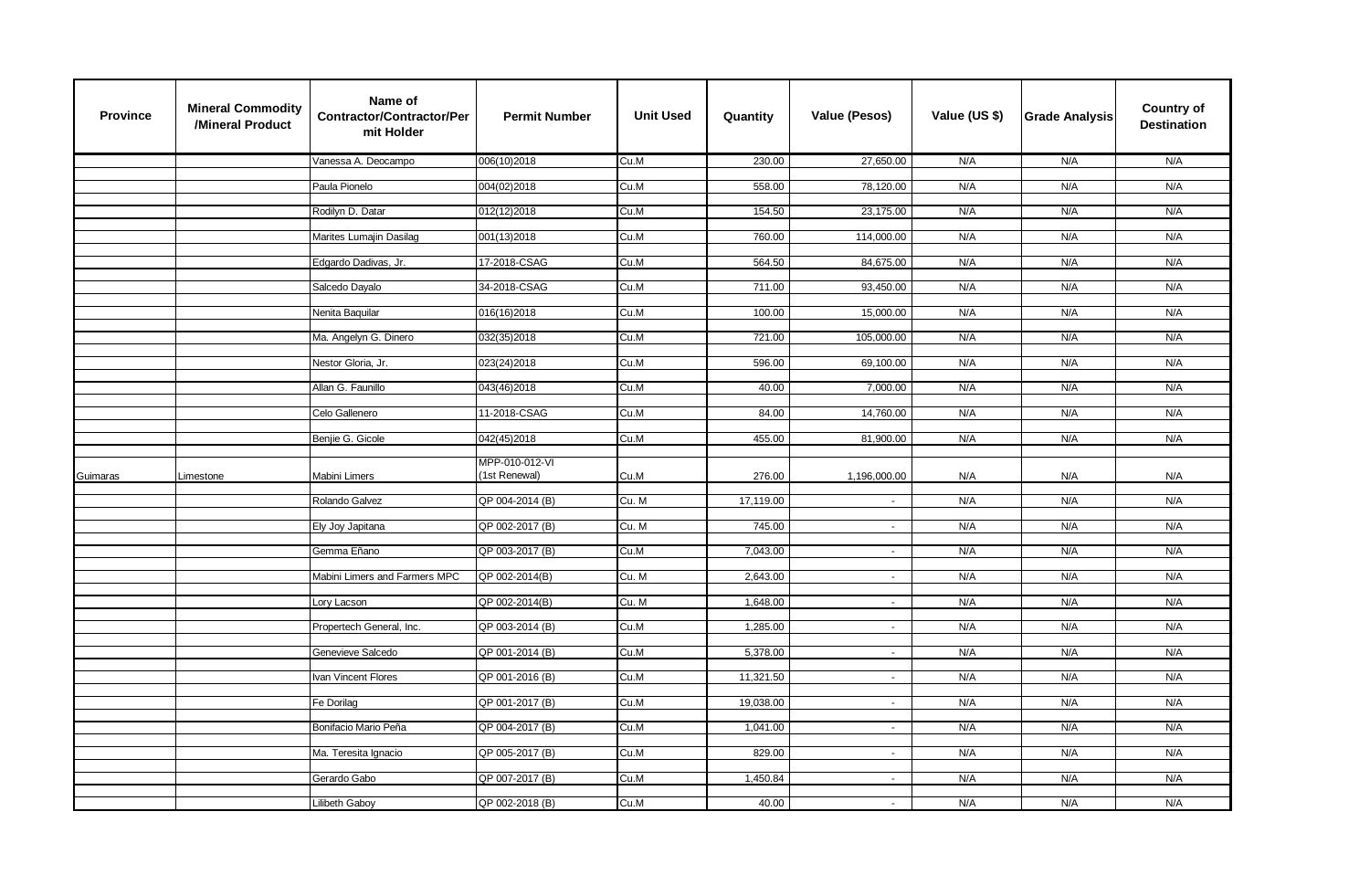| <b>Province</b> | <b>Mineral Commodity</b><br>/Mineral Product | Name of<br>Contractor/Contractor/Per<br>mit Holder | <b>Permit Number</b> | <b>Unit Used</b> | Quantity  | Value (Pesos)               | Value (US \$) | <b>Grade Analysis</b> | <b>Country of</b><br><b>Destination</b> |
|-----------------|----------------------------------------------|----------------------------------------------------|----------------------|------------------|-----------|-----------------------------|---------------|-----------------------|-----------------------------------------|
|                 |                                              | Vanessa A. Deocampo                                | 006(10)2018          | Cu.M             | 230.00    | 27,650.00                   | N/A           | N/A                   | N/A                                     |
|                 |                                              | Paula Pionelo                                      | 004(02)2018          | Cu.M             | 558.00    | 78,120.00                   | N/A           | N/A                   | N/A                                     |
|                 |                                              |                                                    |                      |                  |           |                             |               |                       |                                         |
|                 |                                              | Rodilyn D. Datar                                   | 012(12)2018          | Cu.M             | 154.50    | 23,175.00                   | N/A           | N/A                   | N/A                                     |
|                 |                                              | Marites Lumajin Dasilag                            | 001(13)2018          | Cu.M             | 760.00    | 114,000.00                  | N/A           | N/A                   | N/A                                     |
|                 |                                              | Edgardo Dadivas, Jr.                               | 17-2018-CSAG         | Cu.M             | 564.50    | 84,675.00                   | N/A           | N/A                   | N/A                                     |
|                 |                                              | Salcedo Dayalo                                     | 34-2018-CSAG         | Cu.M             | 711.00    | 93,450.00                   | N/A           | N/A                   | N/A                                     |
|                 |                                              | Nenita Baquilar                                    | 016(16)2018          | Cu.M             | 100.00    | 15,000.00                   | N/A           | N/A                   | N/A                                     |
|                 |                                              | Ma. Angelyn G. Dinero                              | 032(35)2018          | Cu.M             | 721.00    | 105,000.00                  | N/A           | N/A                   | N/A                                     |
|                 |                                              | Nestor Gloria, Jr.                                 | 023(24)2018          | Cu.M             | 596.00    | 69,100.00                   | N/A           | N/A                   | N/A                                     |
|                 |                                              |                                                    |                      |                  |           |                             |               |                       |                                         |
|                 |                                              | Allan G. Faunillo                                  | 043(46)2018          | Cu.M             | 40.00     | 7,000.00                    | N/A           | N/A                   | N/A                                     |
|                 |                                              | Celo Gallenero                                     | 11-2018-CSAG         | Cu.M             | 84.00     | 14,760.00                   | N/A           | N/A                   | N/A                                     |
|                 |                                              | Benjie G. Gicole                                   | 042(45)2018          | Cu.M             | 455.00    | 81,900.00                   | N/A           | N/A                   | N/A                                     |
|                 |                                              |                                                    | MPP-010-012-VI       |                  |           |                             |               |                       |                                         |
| Guimaras        | Limestone                                    | Mabini Limers                                      | (1st Renewal)        | Cu.M             | 276.00    | 1,196,000.00                | N/A           | N/A                   | N/A                                     |
|                 |                                              | Rolando Galvez                                     | QP 004-2014 (B)      | Cu. M            | 17,119.00 | $\blacksquare$              | N/A           | N/A                   | N/A                                     |
|                 |                                              | Ely Joy Japitana                                   | QP 002-2017 (B)      | Cu. M            | 745.00    | $\sim$                      | N/A           | N/A                   | N/A                                     |
|                 |                                              |                                                    |                      |                  |           |                             |               |                       |                                         |
|                 |                                              | Gemma Eñano                                        | QP 003-2017 (B)      | Cu.M             | 7,043.00  | $\mathcal{L}$               | N/A           | N/A                   | N/A                                     |
|                 |                                              | Mabini Limers and Farmers MPC                      | QP 002-2014(B)       | Cu. M            | 2,643.00  | $\sim$                      | N/A           | N/A                   | N/A                                     |
|                 |                                              | Lory Lacson                                        | QP 002-2014(B)       | Cu. M            | 1,648.00  | $\blacksquare$              | N/A           | N/A                   | N/A                                     |
|                 |                                              | Propertech General, Inc.                           | QP 003-2014 (B)      | Cu.M             | 1,285.00  | $\sim$                      | N/A           | N/A                   | N/A                                     |
|                 |                                              |                                                    |                      |                  |           |                             |               |                       |                                         |
|                 |                                              | Genevieve Salcedo                                  | QP 001-2014 (B)      | Cu.M             | 5,378.00  | $\mathcal{L}_{\mathcal{A}}$ | N/A           | N/A                   | N/A                                     |
|                 |                                              | Ivan Vincent Flores                                | QP 001-2016 (B)      | Cu.M             | 11,321.50 | $\sim$                      | N/A           | N/A                   | N/A                                     |
|                 |                                              | Fe Dorilag                                         | QP 001-2017 (B)      | Cu.M             | 19,038.00 | $\sim$                      | N/A           | N/A                   | N/A                                     |
|                 |                                              | Bonifacio Mario Peña                               | QP 004-2017 (B)      | Cu.M             | 1,041.00  | $\sim$                      | N/A           | N/A                   | N/A                                     |
|                 |                                              |                                                    |                      |                  |           |                             |               |                       |                                         |
|                 |                                              | Ma. Teresita Ignacio                               | QP 005-2017 (B)      | Cu.M             | 829.00    | $\omega$                    | N/A           | N/A                   | N/A                                     |
|                 |                                              | Gerardo Gabo                                       | QP 007-2017 (B)      | Cu.M             | 1,450.84  |                             | N/A           | N/A                   | N/A                                     |
|                 |                                              | Lilibeth Gaboy                                     | QP 002-2018 (B)      | Cu.M             | 40.00     | $\sim$                      | N/A           | N/A                   | N/A                                     |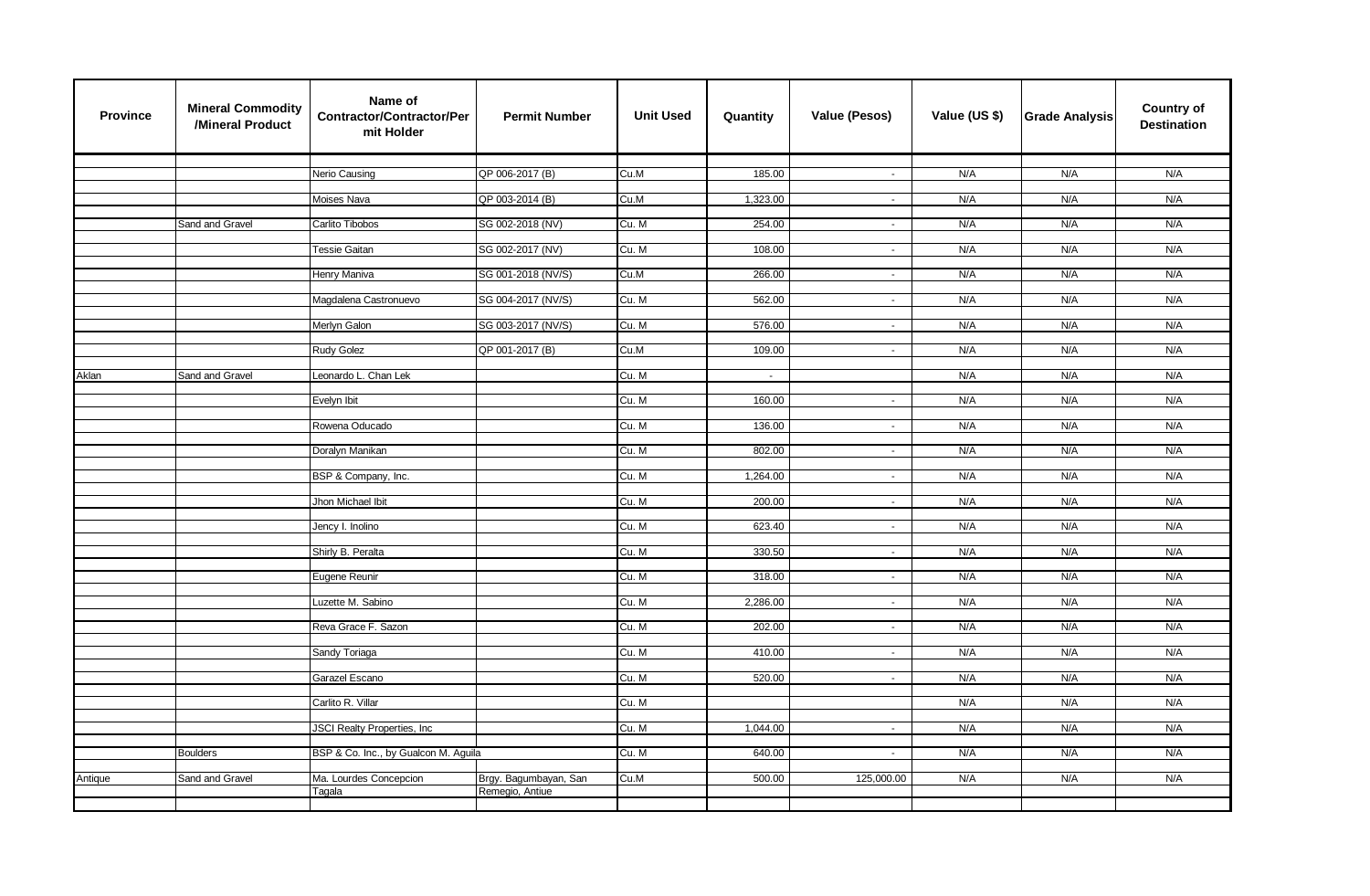| <b>Province</b> | <b>Mineral Commodity</b><br>/Mineral Product | Name of<br><b>Contractor/Contractor/Per</b><br>mit Holder | <b>Permit Number</b>  | <b>Unit Used</b> | Quantity | <b>Value (Pesos)</b>        | Value (US \$) | <b>Grade Analysis</b> | <b>Country of</b><br><b>Destination</b> |
|-----------------|----------------------------------------------|-----------------------------------------------------------|-----------------------|------------------|----------|-----------------------------|---------------|-----------------------|-----------------------------------------|
|                 |                                              |                                                           |                       |                  |          |                             |               |                       |                                         |
|                 |                                              | Nerio Causing                                             | QP 006-2017 (B)       | Cu.M             | 185.00   | $\sim$                      | N/A           | N/A                   | N/A                                     |
|                 |                                              | Moises Nava                                               | QP 003-2014 (B)       | Cu.M             | 1,323.00 | $\omega$                    | N/A           | N/A                   | N/A                                     |
|                 |                                              |                                                           |                       |                  |          |                             |               |                       |                                         |
|                 | Sand and Gravel                              | Carlito Tibobos                                           | SG 002-2018 (NV)      | Cu. M            | 254.00   | $\omega$                    | N/A           | N/A                   | N/A                                     |
|                 |                                              | Tessie Gaitan                                             | SG 002-2017 (NV)      | Cu. M            | 108.00   | $\blacksquare$              | N/A           | N/A                   | N/A                                     |
|                 |                                              |                                                           |                       |                  |          |                             |               |                       |                                         |
|                 |                                              | Henry Maniva                                              | SG 001-2018 (NV/S)    | Cu.M             | 266.00   | $\sim$                      | N/A           | N/A                   | N/A                                     |
|                 |                                              | Magdalena Castronuevo                                     | SG 004-2017 (NV/S)    | Cu. M            | 562.00   | $\sim$                      | N/A           | N/A                   | N/A                                     |
|                 |                                              |                                                           |                       |                  |          |                             |               |                       |                                         |
|                 |                                              | Merlyn Galon                                              | SG 003-2017 (NV/S)    | Cu. M            | 576.00   | $\sim$                      | N/A           | N/A                   | N/A                                     |
|                 |                                              | <b>Rudy Golez</b>                                         | QP 001-2017 (B)       | Cu.M             | 109.00   | $\sim$                      | N/A           | N/A                   | N/A                                     |
|                 |                                              |                                                           |                       |                  |          |                             |               |                       |                                         |
| Aklan           | Sand and Gravel                              | Leonardo L. Chan Lek                                      |                       | Cu. M            | $\sim$   |                             | N/A           | N/A                   | N/A                                     |
|                 |                                              | Evelyn Ibit                                               |                       | Cu. M            | 160.00   | $\sim$                      | N/A           | N/A                   | N/A                                     |
|                 |                                              |                                                           |                       |                  |          |                             |               |                       |                                         |
|                 |                                              | Rowena Oducado                                            |                       | Cu. M            | 136.00   | $\blacksquare$              | N/A           | N/A                   | N/A                                     |
|                 |                                              | Doralyn Manikan                                           |                       | Cu. M            | 802.00   | $\sim$                      | N/A           | N/A                   | N/A                                     |
|                 |                                              |                                                           |                       |                  |          |                             |               |                       |                                         |
|                 |                                              | BSP & Company, Inc.                                       |                       | Cu. M            | 1,264.00 | $\mathcal{L}_{\mathcal{A}}$ | N/A           | N/A                   | N/A                                     |
|                 |                                              | Jhon Michael Ibit                                         |                       | Cu. M            | 200.00   | $\sim$                      | N/A           | N/A                   | N/A                                     |
|                 |                                              |                                                           |                       |                  |          |                             |               |                       |                                         |
|                 |                                              | Jency I. Inolino                                          |                       | Cu. M            | 623.40   | $\sim$                      | N/A           | N/A                   | N/A                                     |
|                 |                                              | Shirly B. Peralta                                         |                       | Cu. M            | 330.50   | $\sim$                      | N/A           | N/A                   | N/A                                     |
|                 |                                              |                                                           |                       |                  |          |                             |               |                       |                                         |
|                 |                                              | Eugene Reunir                                             |                       | Cu. M            | 318.00   | $\sim$                      | N/A           | N/A                   | N/A                                     |
|                 |                                              | Luzette M. Sabino                                         |                       | Cu. M            | 2,286.00 | $\omega$                    | N/A           | N/A                   | N/A                                     |
|                 |                                              |                                                           |                       |                  |          |                             |               |                       |                                         |
|                 |                                              | Reva Grace F. Sazon                                       |                       | Cu. M            | 202.00   | $\blacksquare$              | N/A           | N/A                   | N/A                                     |
|                 |                                              | Sandy Toriaga                                             |                       | Cu. M            | 410.00   | $\sim$                      | N/A           | N/A                   | N/A                                     |
|                 |                                              |                                                           |                       |                  |          |                             |               |                       |                                         |
|                 |                                              | Garazel Escano                                            |                       | Cu. M            | 520.00   | $\sim$                      | N/A           | N/A                   | N/A                                     |
|                 |                                              | Carlito R. Villar                                         |                       | Cu. M            |          |                             | N/A           | N/A                   | N/A                                     |
|                 |                                              |                                                           |                       |                  |          |                             |               |                       |                                         |
|                 |                                              | JSCI Realty Properties, Inc.                              |                       | Cu. M            | 1,044.00 | $\sim$                      | N/A           | N/A                   | N/A                                     |
|                 | <b>Boulders</b>                              | BSP & Co. Inc., by Gualcon M. Aguila                      |                       | Cu. M            | 640.00   | $\sim$                      | N/A           | N/A                   | N/A                                     |
|                 |                                              |                                                           |                       |                  |          |                             |               |                       |                                         |
| Antique         | Sand and Gravel                              | Ma. Lourdes Concepcion                                    | Brgy. Bagumbayan, San | Cu.M             | 500.00   | 125,000.00                  | N/A           | N/A                   | N/A                                     |
|                 |                                              | Tagala                                                    | Remegio, Antiue       |                  |          |                             |               |                       |                                         |
|                 |                                              |                                                           |                       |                  |          |                             |               |                       |                                         |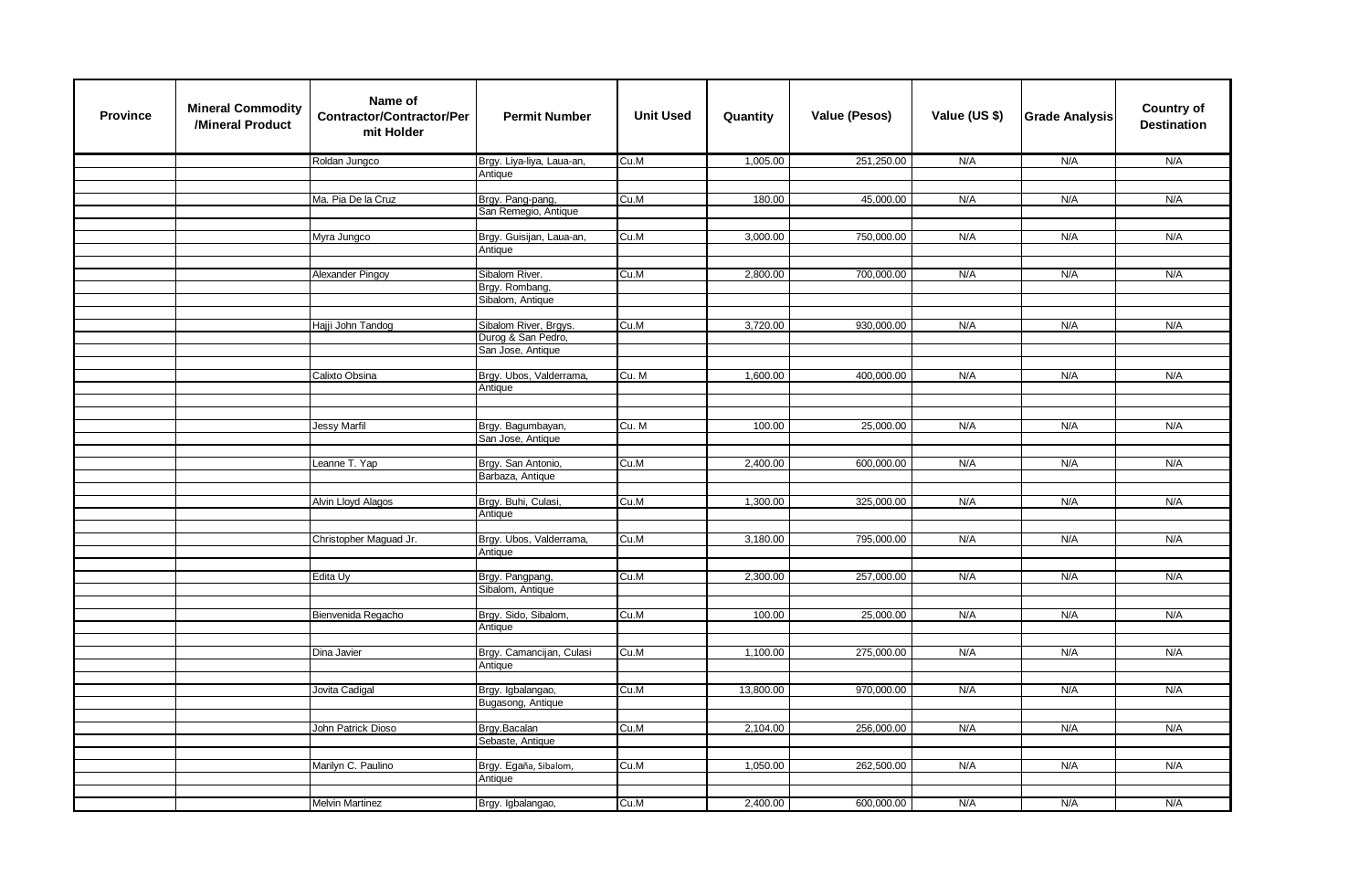| <b>Province</b> | <b>Mineral Commodity</b><br>/Mineral Product | Name of<br><b>Contractor/Contractor/Per</b><br>mit Holder | <b>Permit Number</b>                    | <b>Unit Used</b> | Quantity  | <b>Value (Pesos)</b> | Value (US \$) | <b>Grade Analysis</b> | <b>Country of</b><br><b>Destination</b> |
|-----------------|----------------------------------------------|-----------------------------------------------------------|-----------------------------------------|------------------|-----------|----------------------|---------------|-----------------------|-----------------------------------------|
|                 |                                              | Roldan Jungco                                             | Brgy. Liya-liya, Laua-an,               | Cu.M             | 1,005.00  | 251,250.00           | N/A           | N/A                   | N/A                                     |
|                 |                                              |                                                           | Antique                                 |                  |           |                      |               |                       |                                         |
|                 |                                              |                                                           |                                         |                  |           |                      |               |                       |                                         |
|                 |                                              | Ma. Pia De la Cruz                                        | Brgy. Pang-pang,                        | Cu.M             | 180.00    | 45,000.00            | N/A           | N/A                   | N/A                                     |
|                 |                                              |                                                           | San Remegio, Antique                    |                  |           |                      |               |                       |                                         |
|                 |                                              | Myra Jungco                                               | Brgy. Guisijan, Laua-an,                | Cu.M             | 3,000.00  | 750,000.00           | N/A           | N/A                   | N/A                                     |
|                 |                                              |                                                           | Antique                                 |                  |           |                      |               |                       |                                         |
|                 |                                              |                                                           |                                         |                  |           |                      |               |                       |                                         |
|                 |                                              | Alexander Pingoy                                          | Sibalom River.                          | Cu.M             | 2,800.00  | 700,000.00           | N/A           | N/A                   | N/A                                     |
|                 |                                              |                                                           | Brgy. Rombang,                          |                  |           |                      |               |                       |                                         |
|                 |                                              |                                                           | Sibalom, Antique                        |                  |           |                      |               |                       |                                         |
|                 |                                              |                                                           |                                         |                  |           |                      |               |                       |                                         |
|                 |                                              | Hajji John Tandog                                         | Sibalom River, Brgys.                   | Cu.M             | 3,720.00  | 930,000.00           | N/A           | N/A                   | N/A                                     |
|                 |                                              |                                                           | Durog & San Pedro,<br>San Jose, Antique |                  |           |                      |               |                       |                                         |
|                 |                                              |                                                           |                                         |                  |           |                      |               |                       |                                         |
|                 |                                              | Calixto Obsina                                            | Brgy. Ubos, Valderrama,                 | Cu. M            | 1,600.00  | 400,000.00           | N/A           | N/A                   | N/A                                     |
|                 |                                              |                                                           | Antique                                 |                  |           |                      |               |                       |                                         |
|                 |                                              |                                                           |                                         |                  |           |                      |               |                       |                                         |
|                 |                                              |                                                           |                                         |                  |           |                      |               |                       |                                         |
|                 |                                              | <b>Jessy Marfil</b>                                       | Brgy. Bagumbayan,                       | Cu. M            | 100.00    | 25,000.00            | N/A           | N/A                   | N/A                                     |
|                 |                                              |                                                           | San Jose, Antique                       |                  |           |                      |               |                       |                                         |
|                 |                                              | Leanne T. Yap                                             | Brgy. San Antonio,                      | Cu.M             | 2,400.00  | 600,000.00           | N/A           | N/A                   | N/A                                     |
|                 |                                              |                                                           | Barbaza, Antique                        |                  |           |                      |               |                       |                                         |
|                 |                                              |                                                           |                                         |                  |           |                      |               |                       |                                         |
|                 |                                              | Alvin Lloyd Alagos                                        | Brgy. Buhi, Culasi,                     | Cu.M             | 1,300.00  | 325,000.00           | N/A           | N/A                   | N/A                                     |
|                 |                                              |                                                           | Antique                                 |                  |           |                      |               |                       |                                         |
|                 |                                              |                                                           |                                         |                  |           |                      |               |                       |                                         |
|                 |                                              | Christopher Maguad Jr.                                    | Brgy. Ubos, Valderrama,                 | Cu.M             | 3,180.00  | 795,000.00           | N/A           | N/A                   | N/A                                     |
|                 |                                              |                                                           | Antique                                 |                  |           |                      |               |                       |                                         |
|                 |                                              | Edita Uy                                                  | Brgy. Pangpang,                         | Cu.M             | 2,300.00  | 257,000.00           | N/A           | N/A                   | N/A                                     |
|                 |                                              |                                                           | Sibalom, Antique                        |                  |           |                      |               |                       |                                         |
|                 |                                              |                                                           |                                         |                  |           |                      |               |                       |                                         |
|                 |                                              | Bienvenida Regacho                                        | Brgy. Sido, Sibalom,                    | Cu.M             | 100.00    | 25,000.00            | N/A           | N/A                   | N/A                                     |
|                 |                                              |                                                           | Antique                                 |                  |           |                      |               |                       |                                         |
|                 |                                              |                                                           |                                         |                  |           |                      |               |                       |                                         |
|                 |                                              | Dina Javier                                               | Brgy. Camancijan, Culasi                | Cu.M             | 1,100.00  | 275,000.00           | N/A           | N/A                   | N/A                                     |
|                 |                                              |                                                           | Antique                                 |                  |           |                      |               |                       |                                         |
|                 |                                              | Jovita Cadigal                                            |                                         | Cu.M             | 13,800.00 | 970,000.00           | N/A           | N/A                   | N/A                                     |
|                 |                                              |                                                           | Brgy. Igbalangao,<br>Bugasong, Antique  |                  |           |                      |               |                       |                                         |
|                 |                                              |                                                           |                                         |                  |           |                      |               |                       |                                         |
|                 |                                              | John Patrick Dioso                                        | Brgy.Bacalan                            | Cu.M             | 2,104.00  | 256,000.00           | N/A           | N/A                   | N/A                                     |
|                 |                                              |                                                           | Sebaste, Antique                        |                  |           |                      |               |                       |                                         |
|                 |                                              |                                                           |                                         |                  |           |                      |               |                       |                                         |
|                 |                                              | Marilyn C. Paulino                                        | Brgy. Egaña, Sibalom,                   | Cu.M             | 1,050.00  | 262,500.00           | N/A           | N/A                   | N/A                                     |
|                 |                                              |                                                           | Antique                                 |                  |           |                      |               |                       |                                         |
|                 |                                              |                                                           |                                         |                  |           |                      |               |                       |                                         |
|                 |                                              | <b>Melvin Martinez</b>                                    | Brgy. Igbalangao,                       | Cu.M             | 2,400.00  | 600,000.00           | N/A           | N/A                   | N/A                                     |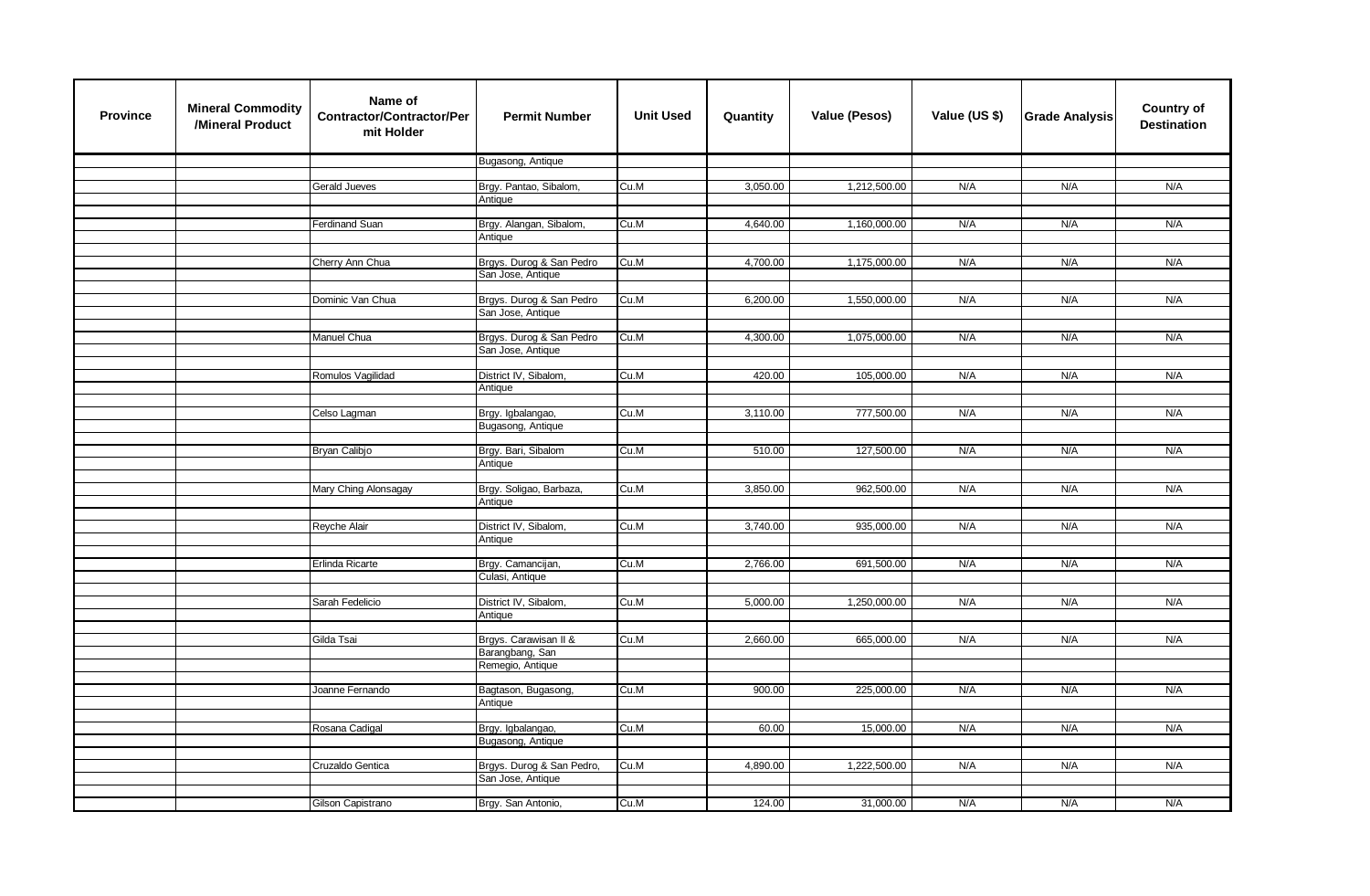| <b>Province</b> | <b>Mineral Commodity</b><br>/Mineral Product | Name of<br><b>Contractor/Contractor/Per</b><br>mit Holder | <b>Permit Number</b>                          | <b>Unit Used</b> | Quantity | <b>Value (Pesos)</b> | Value (US \$) | <b>Grade Analysis</b> | <b>Country of</b><br><b>Destination</b> |
|-----------------|----------------------------------------------|-----------------------------------------------------------|-----------------------------------------------|------------------|----------|----------------------|---------------|-----------------------|-----------------------------------------|
|                 |                                              |                                                           | Bugasong, Antique                             |                  |          |                      |               |                       |                                         |
|                 |                                              | Gerald Jueves                                             | Brgy. Pantao, Sibalom,                        | Cu.M             | 3,050.00 | 1,212,500.00         | N/A           | N/A                   | N/A                                     |
|                 |                                              |                                                           | Antique                                       |                  |          |                      |               |                       |                                         |
|                 |                                              |                                                           |                                               |                  |          |                      |               |                       |                                         |
|                 |                                              | Ferdinand Suan                                            | Brgy. Alangan, Sibalom,                       | Cu.M             | 4,640.00 | 1,160,000.00         | N/A           | N/A                   | N/A                                     |
|                 |                                              |                                                           | Antique                                       |                  |          |                      |               |                       |                                         |
|                 |                                              | Cherry Ann Chua                                           | Brgys. Durog & San Pedro                      | Cu.M             | 4,700.00 | 1,175,000.00         | N/A           | N/A                   | N/A                                     |
|                 |                                              |                                                           | San Jose, Antique                             |                  |          |                      |               |                       |                                         |
|                 |                                              | Dominic Van Chua                                          | Brgys. Durog & San Pedro                      | Cu.M             | 6,200.00 | 1,550,000.00         | N/A           | N/A                   | N/A                                     |
|                 |                                              |                                                           | San Jose, Antique                             |                  |          |                      |               |                       |                                         |
|                 |                                              |                                                           |                                               |                  |          |                      |               |                       |                                         |
|                 |                                              | Manuel Chua                                               | Brgys. Durog & San Pedro<br>San Jose, Antique | Cu.M             | 4,300.00 | 1,075,000.00         | N/A           | N/A                   | N/A                                     |
|                 |                                              |                                                           |                                               |                  |          |                      |               |                       |                                         |
|                 |                                              | Romulos Vagilidad                                         | District IV, Sibalom,                         | Cu.M             | 420.00   | 105,000.00           | N/A           | N/A                   | N/A                                     |
|                 |                                              |                                                           | Antique                                       |                  |          |                      |               |                       |                                         |
|                 |                                              | Celso Lagman                                              | Brgy. Igbalangao,                             | Cu.M             | 3,110.00 | 777,500.00           | N/A           | N/A                   | N/A                                     |
|                 |                                              |                                                           | Bugasong, Antique                             |                  |          |                      |               |                       |                                         |
|                 |                                              |                                                           |                                               |                  |          |                      |               |                       |                                         |
|                 |                                              | Bryan Calibjo                                             | Brgy. Bari, Sibalom<br>Antique                | Cu.M             | 510.00   | 127,500.00           | N/A           | N/A                   | N/A                                     |
|                 |                                              |                                                           |                                               |                  |          |                      |               |                       |                                         |
|                 |                                              | Mary Ching Alonsagay                                      | Brgy. Soligao, Barbaza,                       | Cu.M             | 3,850.00 | 962,500.00           | N/A           | N/A                   | N/A                                     |
|                 |                                              |                                                           | Antique                                       |                  |          |                      |               |                       |                                         |
|                 |                                              | Reyche Alair                                              | District IV, Sibalom,                         | Cu.M             | 3,740.00 | 935,000.00           | N/A           | N/A                   | N/A                                     |
|                 |                                              |                                                           | Antique                                       |                  |          |                      |               |                       |                                         |
|                 |                                              |                                                           |                                               | Cu.M             |          |                      | N/A           | N/A                   | N/A                                     |
|                 |                                              | Erlinda Ricarte                                           | Brgy. Camancijan,<br>Culasi, Antique          |                  | 2,766.00 | 691,500.00           |               |                       |                                         |
|                 |                                              |                                                           |                                               |                  |          |                      |               |                       |                                         |
|                 |                                              | Sarah Fedelicio                                           | District IV, Sibalom,                         | Cu.M             | 5,000.00 | 1,250,000.00         | N/A           | N/A                   | N/A                                     |
|                 |                                              |                                                           | Antique                                       |                  |          |                      |               |                       |                                         |
|                 |                                              | Gilda Tsai                                                | Brgys. Carawisan II &                         | Cu.M             | 2,660.00 | 665,000.00           | N/A           | N/A                   | N/A                                     |
|                 |                                              |                                                           | Barangbang, San                               |                  |          |                      |               |                       |                                         |
|                 |                                              |                                                           | Remegio, Antique                              |                  |          |                      |               |                       |                                         |
|                 |                                              | Joanne Fernando                                           | Bagtason, Bugasong,                           | Cu.M             | 900.00   | 225,000.00           | N/A           | N/A                   | N/A                                     |
|                 |                                              |                                                           | Antique                                       |                  |          |                      |               |                       |                                         |
|                 |                                              | Rosana Cadigal                                            | Brgy. Igbalangao,                             | Cu.M             | 60.00    | 15,000.00            | N/A           | N/A                   | N/A                                     |
|                 |                                              |                                                           | Bugasong, Antique                             |                  |          |                      |               |                       |                                         |
|                 |                                              |                                                           |                                               |                  |          |                      |               |                       |                                         |
|                 |                                              | Cruzaldo Gentica                                          | Brgys. Durog & San Pedro,                     | Cu.M             | 4,890.00 | 1,222,500.00         | N/A           | N/A                   | N/A                                     |
|                 |                                              |                                                           | San Jose, Antique                             |                  |          |                      |               |                       |                                         |
|                 |                                              | Gilson Capistrano                                         | Brgy. San Antonio,                            | Cu.M             | 124.00   | 31,000.00            | N/A           | N/A                   | N/A                                     |